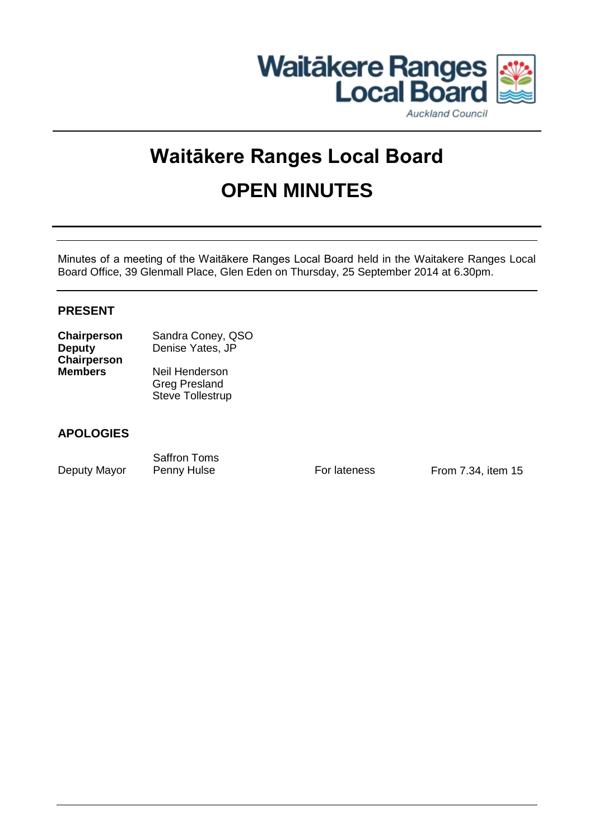

#### **Auckland Council**

# **Waitākere Ranges Local Board OPEN MINUTES**

Minutes of a meeting of the Waitākere Ranges Local Board held in the Waitakere Ranges Local Board Office, 39 Glenmall Place, Glen Eden on Thursday, 25 September 2014 at 6.30pm.

#### **PRESENT**

| <b>Chairperson</b> | Sandra Coney, QSO       |
|--------------------|-------------------------|
| <b>Deputy</b>      | Denise Yates, JP        |
| <b>Chairperson</b> |                         |
| <b>Members</b>     | Neil Henderson          |
|                    | <b>Greg Presland</b>    |
|                    | <b>Steve Tollestrup</b> |

#### **APOLOGIES**

Deputy Mayor Penny Hulse For lateness From 7.34, item 15

Saffron Toms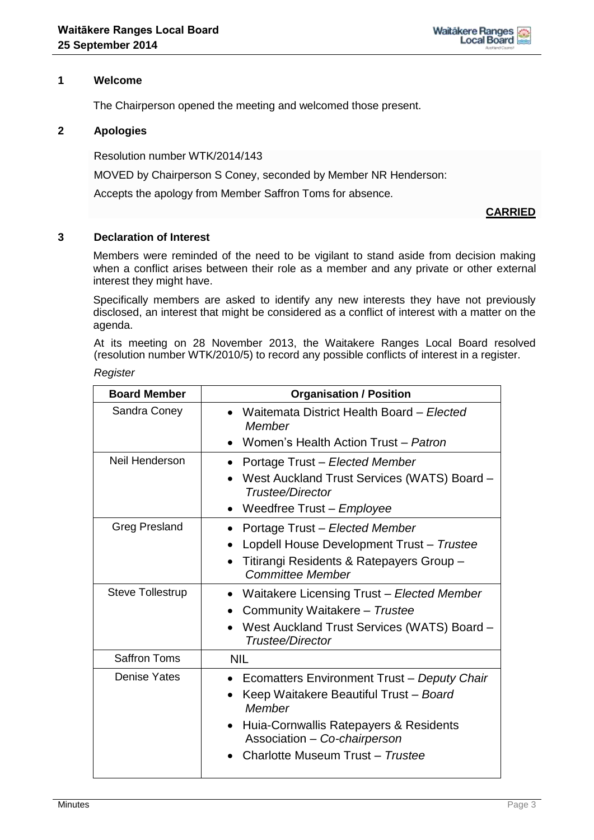#### **1 Welcome**

The Chairperson opened the meeting and welcomed those present.

#### **2 Apologies**

Resolution number WTK/2014/143

MOVED by Chairperson S Coney, seconded by Member NR Henderson:

Accepts the apology from Member Saffron Toms for absence.

#### **CARRIED**

#### **3 Declaration of Interest**

Members were reminded of the need to be vigilant to stand aside from decision making when a conflict arises between their role as a member and any private or other external interest they might have.

Specifically members are asked to identify any new interests they have not previously disclosed, an interest that might be considered as a conflict of interest with a matter on the agenda.

At its meeting on 28 November 2013, the Waitakere Ranges Local Board resolved (resolution number WTK/2010/5) to record any possible conflicts of interest in a register.

#### *Register*

| <b>Board Member</b>     | <b>Organisation / Position</b>                                           |
|-------------------------|--------------------------------------------------------------------------|
| Sandra Coney            | • Waitemata District Health Board – Elected<br>Member                    |
|                         | • Women's Health Action Trust - Patron                                   |
| Neil Henderson          | • Portage Trust – Elected Member                                         |
|                         | West Auckland Trust Services (WATS) Board -<br>Trustee/Director          |
|                         | • Weedfree Trust – Employee                                              |
| <b>Greg Presland</b>    | Portage Trust - Elected Member                                           |
|                         | Lopdell House Development Trust - Trustee                                |
|                         | Titirangi Residents & Ratepayers Group -<br><b>Committee Member</b>      |
| <b>Steve Tollestrup</b> | Waitakere Licensing Trust - Elected Member<br>$\bullet$                  |
|                         | Community Waitakere - Trustee                                            |
|                         | West Auckland Trust Services (WATS) Board -<br>Trustee/Director          |
| <b>Saffron Toms</b>     | <b>NIL</b>                                                               |
| <b>Denise Yates</b>     | • Ecomatters Environment Trust - Deputy Chair                            |
|                         | Keep Waitakere Beautiful Trust - Board<br>Member                         |
|                         | • Huia-Cornwallis Ratepayers & Residents<br>Association - Co-chairperson |
|                         | Charlotte Museum Trust - Trustee                                         |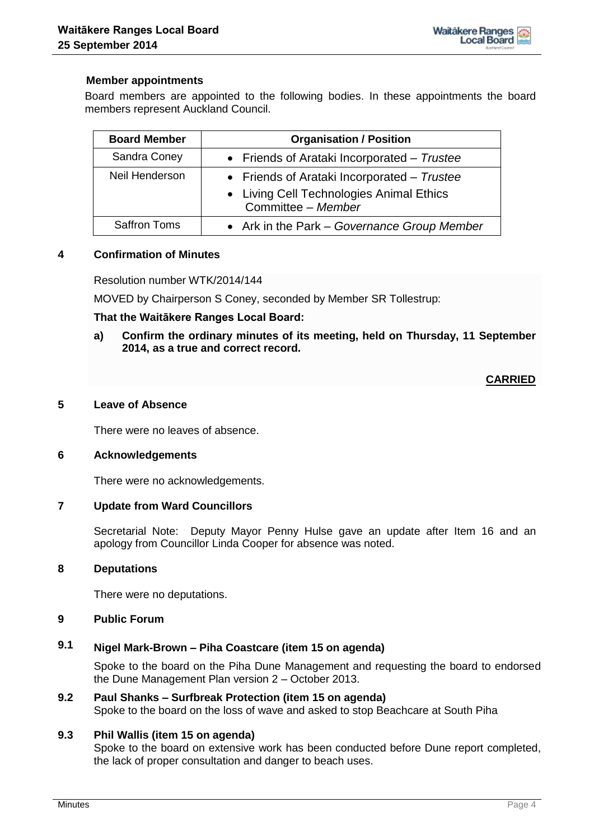#### **Member appointments**

Board members are appointed to the following bodies. In these appointments the board members represent Auckland Council.

| <b>Board Member</b> | <b>Organisation / Position</b>                                                          |
|---------------------|-----------------------------------------------------------------------------------------|
| Sandra Coney        | • Friends of Arataki Incorporated – Trustee                                             |
| Neil Henderson      | • Friends of Arataki Incorporated – Trustee<br>• Living Cell Technologies Animal Ethics |
|                     | Committee - Member                                                                      |
| <b>Saffron Toms</b> | • Ark in the Park - Governance Group Member                                             |

#### **4 Confirmation of Minutes**

Resolution number WTK/2014/144

MOVED by Chairperson S Coney, seconded by Member SR Tollestrup:

#### **That the Waitākere Ranges Local Board:**

**a) Confirm the ordinary minutes of its meeting, held on Thursday, 11 September 2014, as a true and correct record.**

#### **CARRIED**

#### **5 Leave of Absence**

There were no leaves of absence.

#### **6 Acknowledgements**

There were no acknowledgements.

#### **7 Update from Ward Councillors**

Secretarial Note: Deputy Mayor Penny Hulse gave an update after Item 16 and an apology from Councillor Linda Cooper for absence was noted.

#### **8 Deputations**

There were no deputations.

#### **9 Public Forum**

## **9.1 Nigel Mark-Brown – Piha Coastcare (item 15 on agenda)**

Spoke to the board on the Piha Dune Management and requesting the board to endorsed the Dune Management Plan version 2 – October 2013.

### **9.2 Paul Shanks – Surfbreak Protection (item 15 on agenda)**

Spoke to the board on the loss of wave and asked to stop Beachcare at South Piha

#### **9.3 Phil Wallis (item 15 on agenda)**

Spoke to the board on extensive work has been conducted before Dune report completed, the lack of proper consultation and danger to beach uses.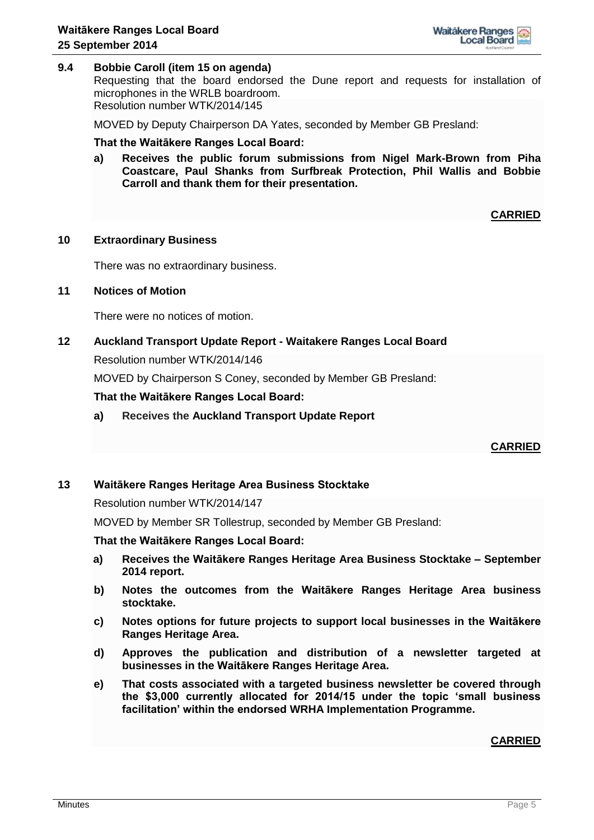

#### **9.4 Bobbie Caroll (item 15 on agenda)**

Requesting that the board endorsed the Dune report and requests for installation of microphones in the WRLB boardroom. Resolution number WTK/2014/145

MOVED by Deputy Chairperson DA Yates, seconded by Member GB Presland:

#### **That the Waitākere Ranges Local Board:**

**a) Receives the public forum submissions from Nigel Mark-Brown from Piha Coastcare, Paul Shanks from Surfbreak Protection, Phil Wallis and Bobbie Carroll and thank them for their presentation.**

**CARRIED**

#### **10 Extraordinary Business**

There was no extraordinary business.

#### **11 Notices of Motion**

There were no notices of motion.

# **12 Auckland Transport Update Report - Waitakere Ranges Local Board**

Resolution number WTK/2014/146

MOVED by Chairperson S Coney, seconded by Member GB Presland:

#### **That the Waitākere Ranges Local Board:**

**a) Receives the Auckland Transport Update Report** 

**CARRIED**

#### **13 Waitākere Ranges Heritage Area Business Stocktake**

#### Resolution number WTK/2014/147

MOVED by Member SR Tollestrup, seconded by Member GB Presland:

#### **That the Waitākere Ranges Local Board:**

- **a) Receives the Waitākere Ranges Heritage Area Business Stocktake – September 2014 report.**
- **b) Notes the outcomes from the Waitākere Ranges Heritage Area business stocktake.**
- **c) Notes options for future projects to support local businesses in the Waitākere Ranges Heritage Area.**
- **d) Approves the publication and distribution of a newsletter targeted at businesses in the Waitākere Ranges Heritage Area.**
- **e) That costs associated with a targeted business newsletter be covered through the \$3,000 currently allocated for 2014/15 under the topic 'small business facilitation' within the endorsed WRHA Implementation Programme.**

#### **CARRIED**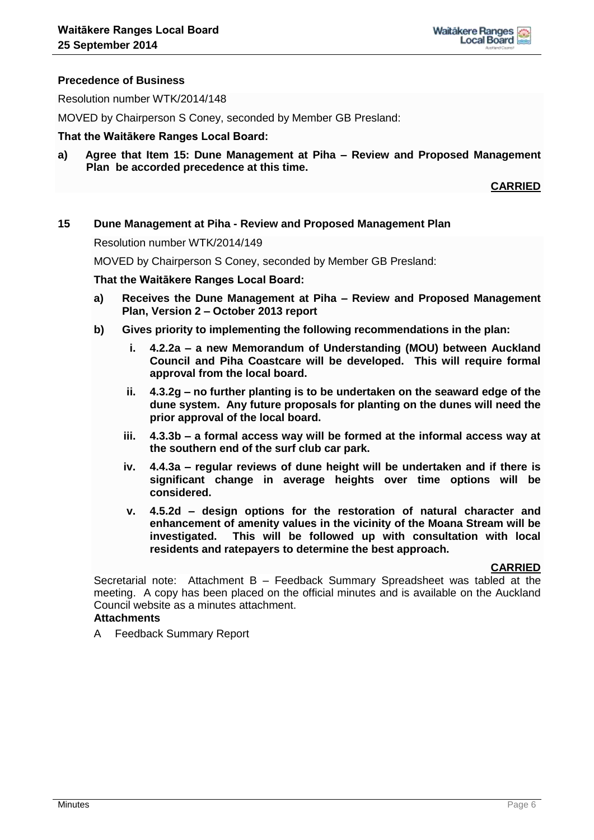#### **Precedence of Business**

Resolution number WTK/2014/148

MOVED by Chairperson S Coney, seconded by Member GB Presland:

#### **That the Waitākere Ranges Local Board:**

**a) Agree that Item 15: Dune Management at Piha – Review and Proposed Management Plan be accorded precedence at this time.**

#### **CARRIED**

#### **15 Dune Management at Piha - Review and Proposed Management Plan**

Resolution number WTK/2014/149

MOVED by Chairperson S Coney, seconded by Member GB Presland:

**That the Waitākere Ranges Local Board:**

- **a) Receives the Dune Management at Piha – Review and Proposed Management Plan, Version 2 – October 2013 report**
- **b) Gives priority to implementing the following recommendations in the plan:**
	- **i. 4.2.2a – a new Memorandum of Understanding (MOU) between Auckland Council and Piha Coastcare will be developed. This will require formal approval from the local board.**
	- **ii. 4.3.2g – no further planting is to be undertaken on the seaward edge of the dune system. Any future proposals for planting on the dunes will need the prior approval of the local board.**
	- **iii. 4.3.3b – a formal access way will be formed at the informal access way at the southern end of the surf club car park.**
	- **iv. 4.4.3a – regular reviews of dune height will be undertaken and if there is significant change in average heights over time options will be considered.**
	- **v. 4.5.2d – design options for the restoration of natural character and enhancement of amenity values in the vicinity of the Moana Stream will be investigated. This will be followed up with consultation with local residents and ratepayers to determine the best approach.**

#### **CARRIED**

Secretarial note: Attachment B – Feedback Summary Spreadsheet was tabled at the meeting. A copy has been placed on the official minutes and is available on the Auckland Council website as a minutes attachment.

#### **Attachments**

A Feedback Summary Report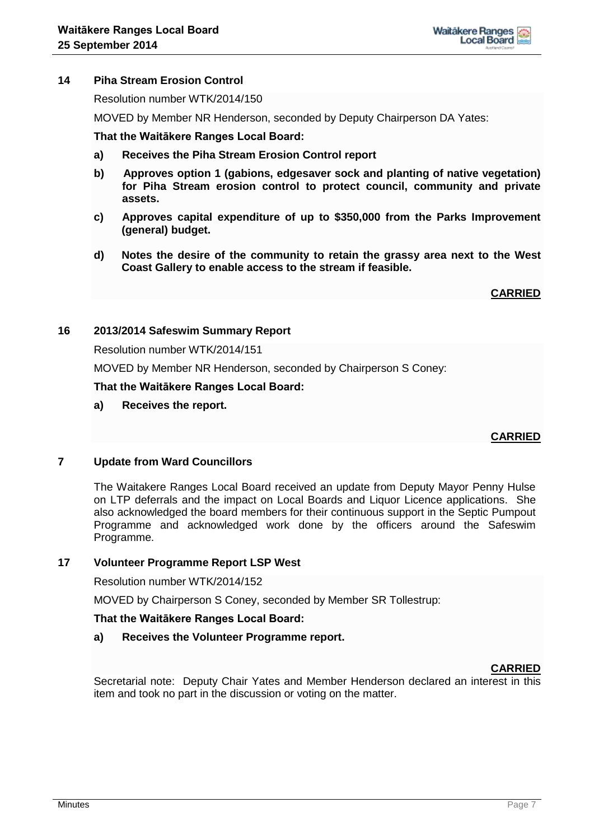

#### **14 Piha Stream Erosion Control**

Resolution number WTK/2014/150

MOVED by Member NR Henderson, seconded by Deputy Chairperson DA Yates:

#### **That the Waitākere Ranges Local Board:**

- **a) Receives the Piha Stream Erosion Control report**
- **b) Approves option 1 (gabions, edgesaver sock and planting of native vegetation) for Piha Stream erosion control to protect council, community and private assets.**
- **c) Approves capital expenditure of up to \$350,000 from the Parks Improvement (general) budget.**
- **d) Notes the desire of the community to retain the grassy area next to the West Coast Gallery to enable access to the stream if feasible.**

**CARRIED**

#### **16 2013/2014 Safeswim Summary Report**

Resolution number WTK/2014/151

MOVED by Member NR Henderson, seconded by Chairperson S Coney:

**That the Waitākere Ranges Local Board:**

#### **a) Receives the report.**

#### **CARRIED**

#### **7 Update from Ward Councillors**

The Waitakere Ranges Local Board received an update from Deputy Mayor Penny Hulse on LTP deferrals and the impact on Local Boards and Liquor Licence applications. She also acknowledged the board members for their continuous support in the Septic Pumpout Programme and acknowledged work done by the officers around the Safeswim Programme.

#### **17 Volunteer Programme Report LSP West**

Resolution number WTK/2014/152

MOVED by Chairperson S Coney, seconded by Member SR Tollestrup:

#### **That the Waitākere Ranges Local Board:**

#### **a) Receives the Volunteer Programme report.**

#### **CARRIED**

Secretarial note: Deputy Chair Yates and Member Henderson declared an interest in this item and took no part in the discussion or voting on the matter.